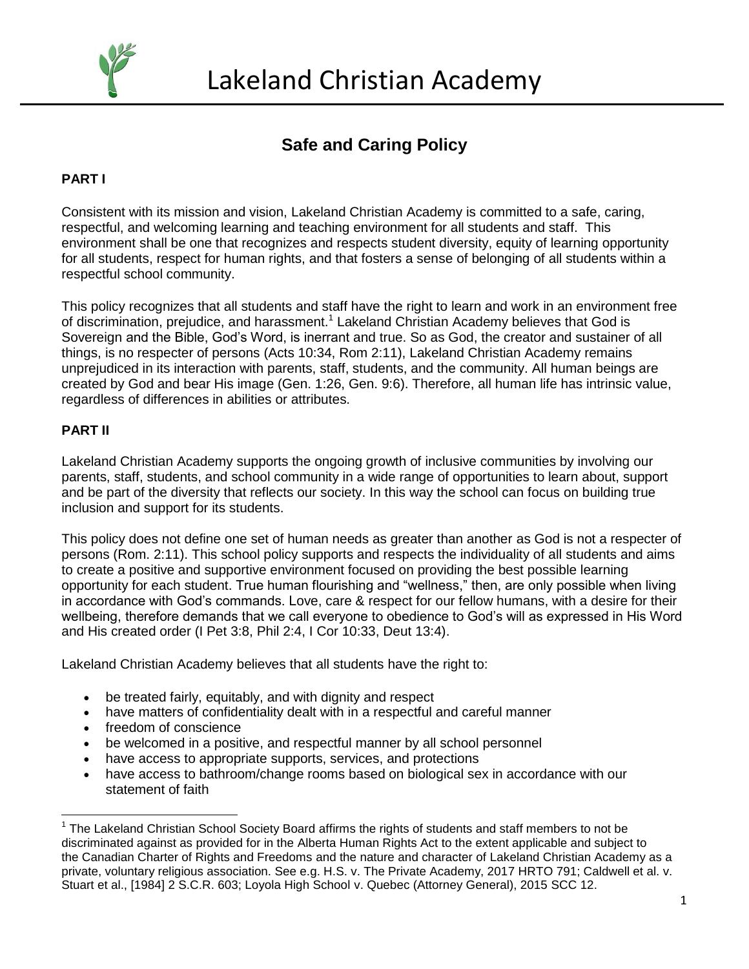

# **Safe and Caring Policy**

## **PART I**

Consistent with its mission and vision, Lakeland Christian Academy is committed to a safe, caring, respectful, and welcoming learning and teaching environment for all students and staff. This environment shall be one that recognizes and respects student diversity, equity of learning opportunity for all students, respect for human rights, and that fosters a sense of belonging of all students within a respectful school community.

This policy recognizes that all students and staff have the right to learn and work in an environment free of discrimination, prejudice, and harassment.<sup>1</sup> Lakeland Christian Academy believes that God is Sovereign and the Bible, God's Word, is inerrant and true. So as God, the creator and sustainer of all things, is no respecter of persons (Acts 10:34, Rom 2:11), Lakeland Christian Academy remains unprejudiced in its interaction with parents, staff, students, and the community. All human beings are created by God and bear His image (Gen. 1:26, Gen. 9:6). Therefore, all human life has intrinsic value, regardless of differences in abilities or attributes.

#### **PART II**

Lakeland Christian Academy supports the ongoing growth of inclusive communities by involving our parents, staff, students, and school community in a wide range of opportunities to learn about, support and be part of the diversity that reflects our society. In this way the school can focus on building true inclusion and support for its students.

This policy does not define one set of human needs as greater than another as God is not a respecter of persons (Rom. 2:11). This school policy supports and respects the individuality of all students and aims to create a positive and supportive environment focused on providing the best possible learning opportunity for each student. True human flourishing and "wellness," then, are only possible when living in accordance with God's commands. Love, care & respect for our fellow humans, with a desire for their wellbeing, therefore demands that we call everyone to obedience to God's will as expressed in His Word and His created order (I Pet 3:8, Phil 2:4, I Cor 10:33, Deut 13:4).

Lakeland Christian Academy believes that all students have the right to:

- be treated fairly, equitably, and with dignity and respect
- have matters of confidentiality dealt with in a respectful and careful manner
- freedom of conscience
- be welcomed in a positive, and respectful manner by all school personnel
- have access to appropriate supports, services, and protections
- have access to bathroom/change rooms based on biological sex in accordance with our statement of faith

 $\overline{a}$ <sup>1</sup> The Lakeland Christian School Society Board affirms the rights of students and staff members to not be discriminated against as provided for in the Alberta Human Rights Act to the extent applicable and subject to the Canadian Charter of Rights and Freedoms and the nature and character of Lakeland Christian Academy as a private, voluntary religious association. See e.g. H.S. v. The Private Academy, 2017 HRTO 791; Caldwell et al. v. Stuart et al., [1984] 2 S.C.R. 603; Loyola High School v. Quebec (Attorney General), 2015 SCC 12.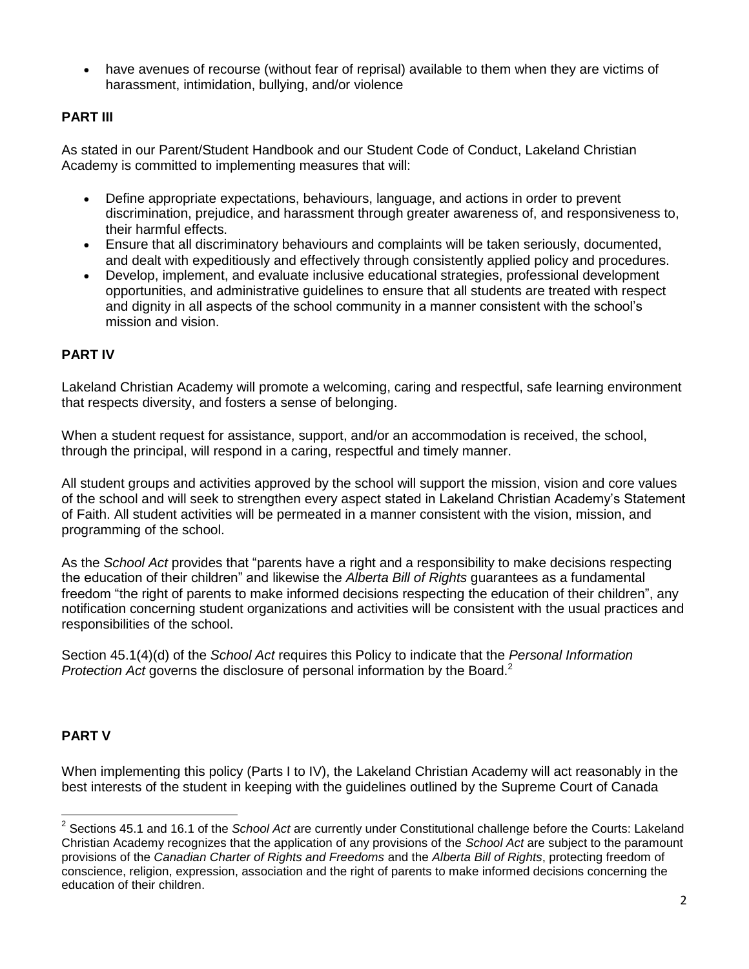have avenues of recourse (without fear of reprisal) available to them when they are victims of harassment, intimidation, bullying, and/or violence

### **PART III**

As stated in our Parent/Student Handbook and our Student Code of Conduct, Lakeland Christian Academy is committed to implementing measures that will:

- Define appropriate expectations, behaviours, language, and actions in order to prevent discrimination, prejudice, and harassment through greater awareness of, and responsiveness to, their harmful effects.
- Ensure that all discriminatory behaviours and complaints will be taken seriously, documented, and dealt with expeditiously and effectively through consistently applied policy and procedures.
- Develop, implement, and evaluate inclusive educational strategies, professional development opportunities, and administrative guidelines to ensure that all students are treated with respect and dignity in all aspects of the school community in a manner consistent with the school's mission and vision.

#### **PART IV**

Lakeland Christian Academy will promote a welcoming, caring and respectful, safe learning environment that respects diversity, and fosters a sense of belonging.

When a student request for assistance, support, and/or an accommodation is received, the school, through the principal, will respond in a caring, respectful and timely manner.

All student groups and activities approved by the school will support the mission, vision and core values of the school and will seek to strengthen every aspect stated in Lakeland Christian Academy's Statement of Faith. All student activities will be permeated in a manner consistent with the vision, mission, and programming of the school.

As the *School Act* provides that "parents have a right and a responsibility to make decisions respecting the education of their children" and likewise the *Alberta Bill of Rights* guarantees as a fundamental freedom "the right of parents to make informed decisions respecting the education of their children", any notification concerning student organizations and activities will be consistent with the usual practices and responsibilities of the school.

Section 45.1(4)(d) of the *School Act* requires this Policy to indicate that the *Personal Information Protection Act* governs the disclosure of personal information by the Board.<sup>2</sup>

#### **PART V**

When implementing this policy (Parts I to IV), the Lakeland Christian Academy will act reasonably in the best interests of the student in keeping with the guidelines outlined by the Supreme Court of Canada

 $\overline{\phantom{a}}$ 2 Sections 45.1 and 16.1 of the *School Act* are currently under Constitutional challenge before the Courts: Lakeland Christian Academy recognizes that the application of any provisions of the *School Act* are subject to the paramount provisions of the *Canadian Charter of Rights and Freedoms* and the *Alberta Bill of Rights*, protecting freedom of conscience, religion, expression, association and the right of parents to make informed decisions concerning the education of their children.